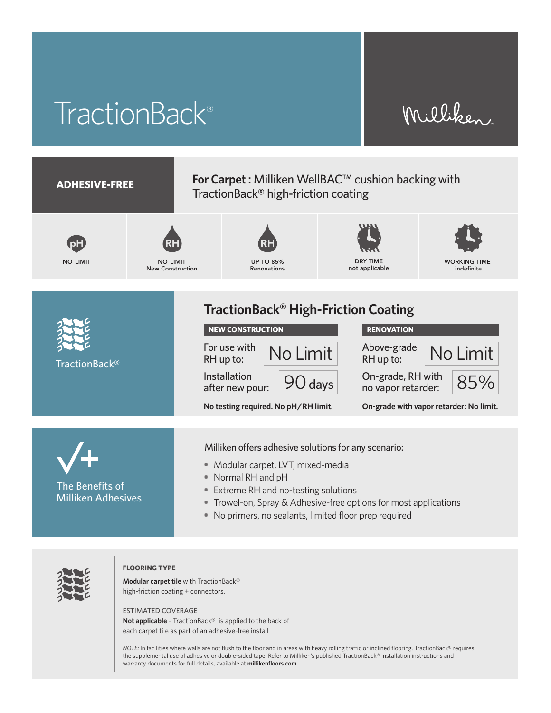# TractionBack®

## Milliken





#### **FLOORING TYPE**

**Modular carpet tile** with TractionBack® high-friction coating + connectors.

ESTIMATED COVERAGE

**Not applicable** - TractionBack® is applied to the back of each carpet tile as part of an adhesive-free install

*NOTE:* In facilities where walls are not flush to the floor and in areas with heavy rolling traffic or inclined flooring, TractionBack® requires the supplemental use of adhesive or double-sided tape. Refer to Milliken's published TractionBack® installation instructions and warranty documents for full details, available at **millikenfloors.com.**